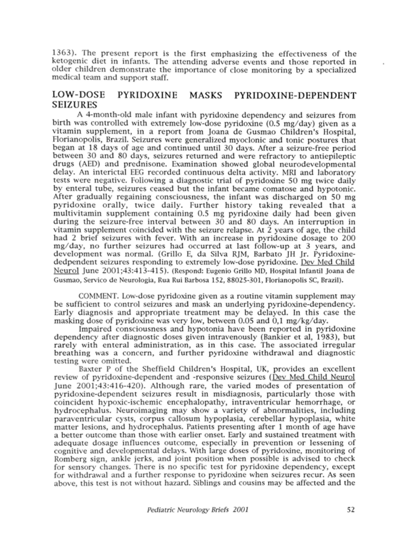1363). The present report is the first emphasizing the effectiveness of the ketogenic diet in infants. The attending adverse events and those reported in older children demonstrate the importance of close monitoring by <sup>a</sup> specialized medical team and support staff.

## LOW-DOSE PYRIDOXINE MASKS PYRIDOXINE-DEPENDENT SEIZURES

A 4-month-old male infant with pyridoxine dependency and seizures from birth was controlled with extremely low-dose pyridoxine (0.5 mg/day) given as <sup>a</sup> vitamin supplement, in <sup>a</sup> report from Joana de Gusmao Children's Hospital, Florianopolis, Brazil. Seizures were generalized myoclonic and tonic postures that began at 18 days of age and continued until 30 days. After a seizure-free period between 30 and 80 days, seizures returned and were refractory to antiepileptic drugs (AED) and prednisone. Examination showed global neurodevelopmental delay. An interictal EEG recorded continuous delta activity. MRI and laboratory tests were negative. Following <sup>a</sup> diagnostic trial of pyridoxine 50 mg twice daily by enteral tube, seizures ceased but the infant became comatose and hypotonic. After gradually regaining consciousness, the infant was discharged on 50 mg pyridoxine orally, twice daily. Further history taking revealed that <sup>a</sup> multivitamin supplement containing 0.5 mg pyridoxine daily had been given during the seizure-free interval between 30 and 80 days. An interruption in vitamin supplement coincided with the seizure relapse. At  $\hat{2}$  years of age, the child had <sup>2</sup> brief seizures with fever. With an increase in pyridoxine dosage to 200 mg/day, no further seizures had occurred at last follow-up at <sup>3</sup> years, and development was normal. (Grillo E, da Silva RJM, Barbato JH Jr. Pyridoxinededpendent seizures responding to extremely low-dose pyridoxine. Dev Med Child Neurol June 2001;43:413-415). (Respond: Eugenio Grillo MD, Hospital Infantil Joana de Gusmao, Servico de Neurologia, Rua Rui Barbosa 152, 88025-301, Florianopolis SC, Brazil).

COMMENT. Low-dose pyridoxine given as a routine vitamin supplement may be sufficient to control seizures and mask an underlying pyridoxine-dependency. Early diagnosis and appropriate treatment may be delayed. In this case the masking dose of pyridoxine was very low, between 0.05 and 0,1 mg/kg/day.

Impaired consciousness and hypotonia have been reported in pyridoxine dependency after diagnostic doses given intravenously (Bankier et al, 1983), but rarely with enteral administration, as in this case. The associated irregular breathing was a concern, and further pyridoxine withdrawal and diagnostic testing were omitted.

Baxter <sup>P</sup> of the Sheffield Children's Hospital, UK, provides an excellent review of pyridoxine-dependent and -responsive seizures (Dev Med Child Neurol June 2001;43:416-420). Although rare, the varied modes of presentation of pyridoxine-dependent seizures result in misdiagnosis, particularly those with coincident hypoxic-ischemic encephalopathy, intraventricular hemorrhage, or hydrocephalus. Neuroimaging may show a variety of abnormalities, including paraventricular cysts, corpus callosum hypoplasia, cerebellar hypoplasia, white matter lesions, and hydrocephalus. Patients presenting after <sup>1</sup> month of age have a better outcome than those with earlier onset. Early and sustained treatment with adequate dosage influences outcome, especially in prevention or lessening of cognitive and developmental delays. With large doses of pyridoxine, monitoring of Romberg sign, ankle jerks, and joint position when possible is advised to check for sensory changes. There is no specific test for pyridoxine dependency, except for withdrawal and a further response to pyridoxine when seizures recur. As seen above, this test is not without hazard. Siblings and cousins may be affected and the